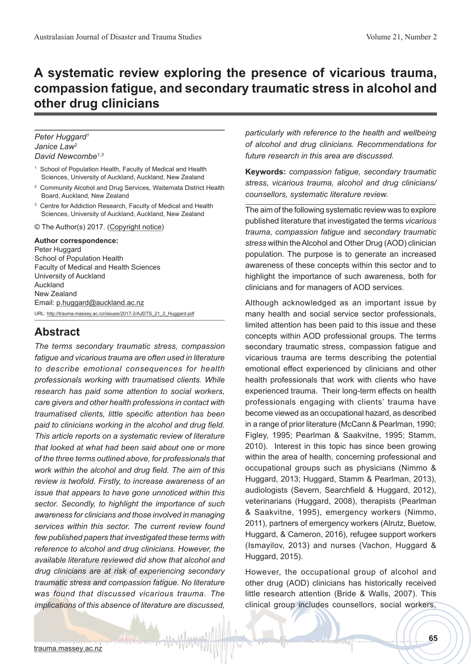# **A systematic review exploring the presence of vicarious trauma, compassion fatigue, and secondary traumatic stress in alcohol and other drug clinicians**

#### *Peter Huggard1 Janice Law2 David Newcombe1,3*

- 1 School of Population Health, Faculty of Medical and Health Sciences, University of Auckland, Auckland, New Zealand
- $\overline{2}$  Community Alcohol and Drug Services, Waitemata District Health Board, Auckland, New Zealand
- 3 Centre for Addiction Research, Faculty of Medical and Health Sciences, University of Auckland, Auckland, New Zealand

© The Author(s) 2017. (Copyright notice)

**Author correspondence:** Peter Huggard School of Population Health Faculty of Medical and Health Sciences University of Auckland Auckland New Zealand Email: p.huggard@auckland.ac.nz URL: http://trauma.massey.ac.nz/issues/2017-2/AJDTS\_21\_2\_Huggard.pdf

### **Abstract**

*The terms secondary traumatic stress, compassion fatigue and vicarious trauma are often used in literature to describe emotional consequences for health professionals working with traumatised clients. While research has paid some attention to social workers, care givers and other health professions in contact with traumatised clients, little specific attention has been paid to clinicians working in the alcohol and drug field. This article reports on a systematic review of literature that looked at what had been said about one or more of the three terms outlined above, for professionals that work within the alcohol and drug field. The aim of this review is twofold. Firstly, to increase awareness of an issue that appears to have gone unnoticed within this sector. Secondly, to highlight the importance of such awareness for clinicians and those involved in managing services within this sector. The current review found few published papers that investigated these terms with reference to alcohol and drug clinicians. However, the available literature reviewed did show that alcohol and drug clinicians are at risk of experiencing secondary traumatic stress and compassion fatigue. No literature was found that discussed vicarious trauma. The implications of this absence of literature are discussed,* 

*particularly with reference to the health and wellbeing of alcohol and drug clinicians. Recommendations for future research in this area are discussed.*

**Keywords:** *compassion fatigue, secondary traumatic stress, vicarious trauma, alcohol and drug clinicians/ counsellors, systematic literature review.* 

The aim of the following systematic review was to explore published literature that investigated the terms *vicarious trauma*, *compassion fatigue* and *secondary traumatic stress* within the Alcohol and Other Drug (AOD) clinician population. The purpose is to generate an increased awareness of these concepts within this sector and to highlight the importance of such awareness, both for clinicians and for managers of AOD services.

Although acknowledged as an important issue by many health and social service sector professionals, limited attention has been paid to this issue and these concepts within AOD professional groups. The terms secondary traumatic stress, compassion fatigue and vicarious trauma are terms describing the potential emotional effect experienced by clinicians and other health professionals that work with clients who have experienced trauma. Their long-term effects on health professionals engaging with clients' trauma have become viewed as an occupational hazard, as described in a range of prior literature (McCann & Pearlman, 1990; Figley, 1995; Pearlman & Saakvitne, 1995; Stamm, 2010). Interest in this topic has since been growing within the area of health, concerning professional and occupational groups such as physicians (Nimmo & Huggard, 2013; Huggard, Stamm & Pearlman, 2013), audiologists (Severn, Searchfield & Huggard, 2012), veterinarians (Huggard, 2008), therapists (Pearlman & Saakvitne, 1995), emergency workers (Nimmo, 2011), partners of emergency workers (Alrutz, Buetow, Huggard, & Cameron, 2016), refugee support workers (Ismayilov, 2013) and nurses (Vachon, Huggard & Huggard, 2015).

However, the occupational group of alcohol and other drug (AOD) clinicians has historically received little research attention (Bride & Walls, 2007). This clinical group includes counsellors, social workers,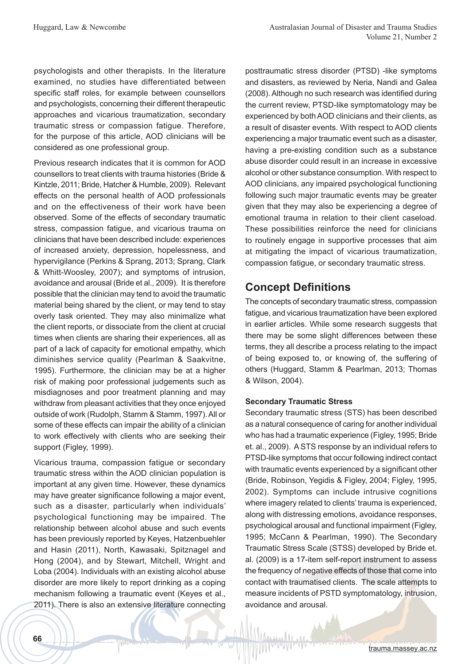psychologists and other therapists. In the literature examined, no studies have differentiated between specific staff roles, for example between counsellors and psychologists, concerning their different therapeutic approaches and vicarious traumatization, secondary traumatic stress or compassion fatigue. Therefore, for the purpose of this article, AOD clinicians will be considered as one professional group.

Previous research indicates that it is common for AOD counsellors to treat clients with trauma histories (Bride & Kintzle, 2011; Bride, Hatcher & Humble, 2009). Relevant effects on the personal health of AOD professionals and on the effectiveness of their work have been observed. Some of the effects of secondary traumatic stress, compassion fatigue, and vicarious trauma on clinicians that have been described include: experiences of increased anxiety, depression, hopelessness, and hypervigilance (Perkins & Sprang, 2013; Sprang, Clark & Whitt-Woosley, 2007); and symptoms of intrusion, avoidance and arousal (Bride et al., 2009). It is therefore possible that the clinician may tend to avoid the traumatic material being shared by the client, or may tend to stay overly task oriented. They may also minimalize what the client reports, or dissociate from the client at crucial times when clients are sharing their experiences, all as part of a lack of capacity for emotional empathy, which diminishes service quality (Pearlman & Saakvitne, 1995). Furthermore, the clinician may be at a higher risk of making poor professional judgements such as misdiagnoses and poor treatment planning and may withdraw from pleasant activities that they once enjoyed outside of work (Rudolph, Stamm & Stamm, 1997). All or some of these effects can impair the ability of a clinician to work effectively with clients who are seeking their support (Figley, 1999).

Vicarious trauma, compassion fatigue or secondary traumatic stress within the AOD clinician population is important at any given time. However, these dynamics may have greater significance following a major event, such as a disaster, particularly when individuals' psychological functioning may be impaired. The relationship between alcohol abuse and such events has been previously reported by Keyes, Hatzenbuehler and Hasin (2011), North, Kawasaki, Spitznagel and Hong (2004), and by Stewart, Mitchell, Wright and Loba (2004). Individuals with an existing alcohol abuse disorder are more likely to report drinking as a coping mechanism following a traumatic event (Keyes et al., 2011). There is also an extensive literature connecting posttraumatic stress disorder (PTSD) -like symptoms and disasters, as reviewed by Neria, Nandi and Galea (2008). Although no such research was identified during the current review, PTSD-like symptomatology may be experienced by both AOD clinicians and their clients, as a result of disaster events. With respect to AOD clients experiencing a major traumatic event such as a disaster, having a pre-existing condition such as a substance abuse disorder could result in an increase in excessive alcohol or other substance consumption. With respect to AOD clinicians, any impaired psychological functioning following such major traumatic events may be greater given that they may also be experiencing a degree of emotional trauma in relation to their client caseload. These possibilities reinforce the need for clinicians to routinely engage in supportive processes that aim at mitigating the impact of vicarious traumatization, compassion fatigue, or secondary traumatic stress.

# **Concept Definitions**

The concepts of secondary traumatic stress, compassion fatigue, and vicarious traumatization have been explored in earlier articles. While some research suggests that there may be some slight differences between these terms, they all describe a process relating to the impact of being exposed to, or knowing of, the suffering of others (Huggard, Stamm & Pearlman, 2013; Thomas & Wilson, 2004).

#### **Secondary Traumatic Stress**

Secondary traumatic stress (STS) has been described as a natural consequence of caring for another individual who has had a traumatic experience (Figley, 1995; Bride et. al., 2009). A STS response by an individual refers to PTSD-like symptoms that occur following indirect contact with traumatic events experienced by a significant other (Bride, Robinson, Yegidis & Figley, 2004; Figley, 1995, 2002). Symptoms can include intrusive cognitions where imagery related to clients' trauma is experienced, along with distressing emotions, avoidance responses, psychological arousal and functional impairment (Figley, 1995; McCann & Pearlman, 1990). The Secondary Traumatic Stress Scale (STSS) developed by Bride et. al. (2009) is a 17-item self-report instrument to assess the frequency of negative effects of those that come into contact with traumatised clients. The scale attempts to measure incidents of PSTD symptomatology, intrusion, avoidance and arousal.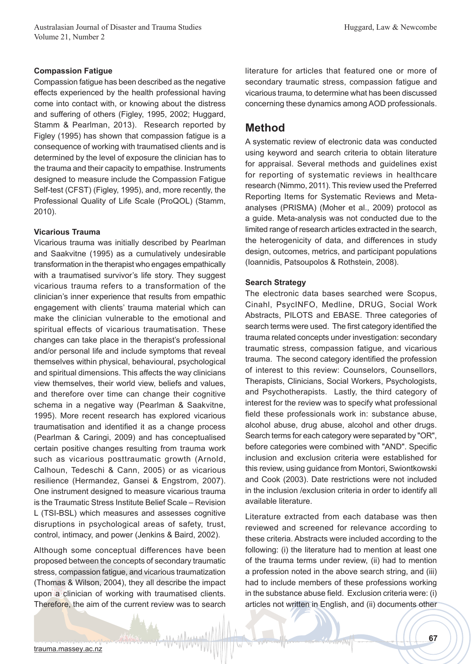#### **Compassion Fatigue**

Compassion fatigue has been described as the negative effects experienced by the health professional having come into contact with, or knowing about the distress and suffering of others (Figley, 1995, 2002; Huggard, Stamm & Pearlman, 2013). Research reported by Figley (1995) has shown that compassion fatigue is a consequence of working with traumatised clients and is determined by the level of exposure the clinician has to the trauma and their capacity to empathise. Instruments designed to measure include the Compassion Fatigue Self-test (CFST) (Figley, 1995), and, more recently, the Professional Quality of Life Scale (ProQOL) (Stamm, 2010).

#### **Vicarious Trauma**

Vicarious trauma was initially described by Pearlman and Saakvitne (1995) as a cumulatively undesirable transformation in the therapist who engages empathically with a traumatised survivor's life story. They suggest vicarious trauma refers to a transformation of the clinician's inner experience that results from empathic engagement with clients' trauma material which can make the clinician vulnerable to the emotional and spiritual effects of vicarious traumatisation. These changes can take place in the therapist's professional and/or personal life and include symptoms that reveal themselves within physical, behavioural, psychological and spiritual dimensions. This affects the way clinicians view themselves, their world view, beliefs and values, and therefore over time can change their cognitive schema in a negative way (Pearlman & Saakvitne, 1995). More recent research has explored vicarious traumatisation and identified it as a change process (Pearlman & Caringi, 2009) and has conceptualised certain positive changes resulting from trauma work such as vicarious posttraumatic growth (Arnold, Calhoun, Tedeschi & Cann, 2005) or as vicarious resilience (Hermandez, Gansei & Engstrom, 2007). One instrument designed to measure vicarious trauma is the Traumatic Stress Institute Belief Scale – Revision L (TSI-BSL) which measures and assesses cognitive disruptions in psychological areas of safety, trust, control, intimacy, and power (Jenkins & Baird, 2002).

Although some conceptual differences have been proposed between the concepts of secondary traumatic stress, compassion fatigue, and vicarious traumatization (Thomas & Wilson, 2004), they all describe the impact upon a clinician of working with traumatised clients. Therefore, the aim of the current review was to search

literature for articles that featured one or more of secondary traumatic stress, compassion fatigue and vicarious trauma, to determine what has been discussed concerning these dynamics among AOD professionals.

### **Method**

A systematic review of electronic data was conducted using keyword and search criteria to obtain literature for appraisal. Several methods and guidelines exist for reporting of systematic reviews in healthcare research (Nimmo, 2011). This review used the Preferred Reporting Items for Systematic Reviews and Metaanalyses (PRISMA) (Moher et al., 2009) protocol as a guide. Meta-analysis was not conducted due to the limited range of research articles extracted in the search, the heterogenicity of data, and differences in study design, outcomes, metrics, and participant populations (Ioannidis, Patsoupolos & Rothstein, 2008).

#### **Search Strategy**

The electronic data bases searched were Scopus, Cinahl, PsycINFO, Medline, DRUG, Social Work Abstracts, PILOTS and EBASE. Three categories of search terms were used. The first category identified the trauma related concepts under investigation: secondary traumatic stress, compassion fatigue, and vicarious trauma. The second category identified the profession of interest to this review: Counselors, Counsellors, Therapists, Clinicians, Social Workers, Psychologists, and Psychotherapists. Lastly, the third category of interest for the review was to specify what professional field these professionals work in: substance abuse, alcohol abuse, drug abuse, alcohol and other drugs. Search terms for each category were separated by "OR", before categories were combined with "AND". Specific inclusion and exclusion criteria were established for this review, using guidance from Montori, Swiontkowski and Cook (2003). Date restrictions were not included in the inclusion /exclusion criteria in order to identify all available literature.

Literature extracted from each database was then reviewed and screened for relevance according to these criteria. Abstracts were included according to the following: (i) the literature had to mention at least one of the trauma terms under review, (ii) had to mention a profession noted in the above search string, and (iii) had to include members of these professions working in the substance abuse field. Exclusion criteria were: (i) articles not written in English, and (ii) documents other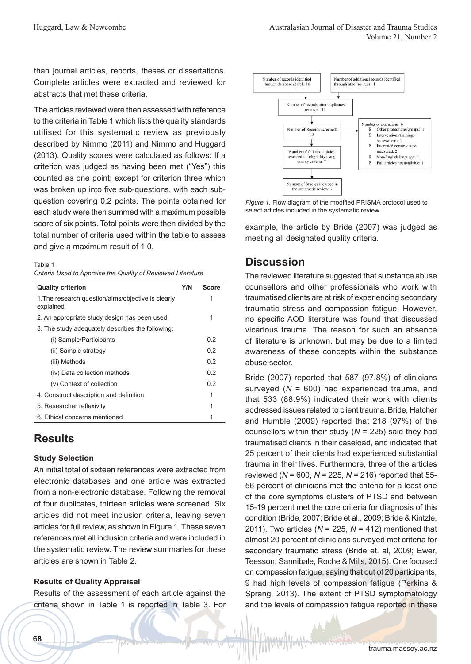than journal articles, reports, theses or dissertations. Complete articles were extracted and reviewed for abstracts that met these criteria.

The articles reviewed were then assessed with reference to the criteria in Table 1 which lists the quality standards utilised for this systematic review as previously described by Nimmo (2011) and Nimmo and Huggard (2013). Quality scores were calculated as follows: If a criterion was judged as having been met ("Yes") this counted as one point; except for criterion three which was broken up into five sub-questions, with each subquestion covering 0.2 points. The points obtained for each study were then summed with a maximum possible score of six points. Total points were then divided by the total number of criteria used within the table to assess and give a maximum result of 1.0.

Table 1

*Criteria Used to Appraise the Quality of Reviewed Literature*

| <b>Quality criterion</b>                                        | Y/N | Score |
|-----------------------------------------------------------------|-----|-------|
| 1. The research question/aims/objective is clearly<br>explained |     | 1     |
| 2. An appropriate study design has been used                    |     | 1     |
| 3. The study adequately describes the following:                |     |       |
| (i) Sample/Participants                                         |     | 0.2   |
| (ii) Sample strategy                                            |     | 02    |
| (iii) Methods                                                   |     | 0.2   |
| (iv) Data collection methods                                    |     | 0.2   |
| (v) Context of collection                                       |     | 0.2   |
| 4. Construct description and definition                         |     | 1     |
| 5. Researcher reflexivity                                       |     | 1     |
| 6. Ethical concerns mentioned                                   |     | 1     |
|                                                                 |     |       |

# **Results**

#### **Study Selection**

An initial total of sixteen references were extracted from electronic databases and one article was extracted from a non-electronic database. Following the removal of four duplicates, thirteen articles were screened. Six articles did not meet inclusion criteria, leaving seven articles for full review, as shown in Figure 1. These seven references met all inclusion criteria and were included in the systematic review. The review summaries for these articles are shown in Table 2.

#### **Results of Quality Appraisal**

Results of the assessment of each article against the criteria shown in Table 1 is reported in Table 3. For



*Figure 1.* Flow diagram of the modified PRISMA protocol used to select articles included in the systematic review

example, the article by Bride (2007) was judged as meeting all designated quality criteria.

# **Discussion**

The reviewed literature suggested that substance abuse counsellors and other professionals who work with traumatised clients are at risk of experiencing secondary traumatic stress and compassion fatigue. However, no specific AOD literature was found that discussed vicarious trauma. The reason for such an absence of literature is unknown, but may be due to a limited awareness of these concepts within the substance abuse sector.

Bride (2007) reported that 587 (97.8%) of clinicians surveyed (*N* = 600) had experienced trauma, and that 533 (88.9%) indicated their work with clients addressed issues related to client trauma. Bride, Hatcher and Humble (2009) reported that 218 (97%) of the counsellors within their study (*N* = 225) said they had traumatised clients in their caseload, and indicated that 25 percent of their clients had experienced substantial trauma in their lives. Furthermore, three of the articles reviewed (*N* = 600, *N* = 225, *N* = 216) reported that 55- 56 percent of clinicians met the criteria for a least one of the core symptoms clusters of PTSD and between 15-19 percent met the core criteria for diagnosis of this condition (Bride, 2007; Bride et al., 2009; Bride & Kintzle, 2011). Two articles (*N* = 225, *N* = 412) mentioned that almost 20 percent of clinicians surveyed met criteria for secondary traumatic stress (Bride et. al, 2009; Ewer, Teesson, Sannibale, Roche & Mills, 2015). One focused on compassion fatigue, saying that out of 20 participants, 9 had high levels of compassion fatigue (Perkins & Sprang, 2013). The extent of PTSD symptomatology and the levels of compassion fatigue reported in these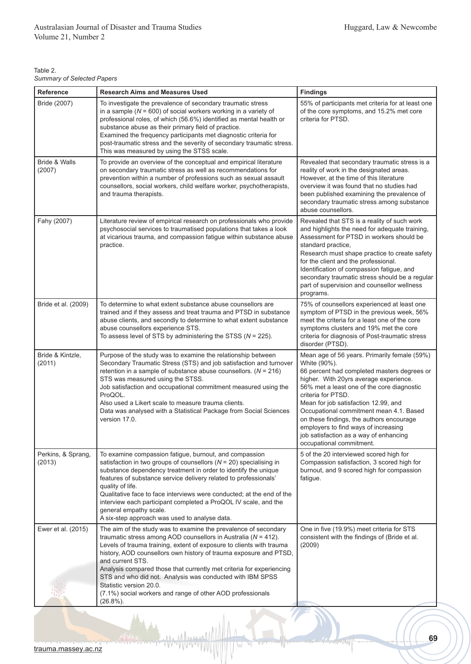| Table 2.                          |  |
|-----------------------------------|--|
| <b>Summary of Selected Papers</b> |  |

| Reference                    | <b>Research Aims and Measures Used</b>                                                                                                                                                                                                                                                                                                                                                                                                                                                                                                               | <b>Findings</b>                                                                                                                                                                                                                                                                                                                                                                                                                                                        |
|------------------------------|------------------------------------------------------------------------------------------------------------------------------------------------------------------------------------------------------------------------------------------------------------------------------------------------------------------------------------------------------------------------------------------------------------------------------------------------------------------------------------------------------------------------------------------------------|------------------------------------------------------------------------------------------------------------------------------------------------------------------------------------------------------------------------------------------------------------------------------------------------------------------------------------------------------------------------------------------------------------------------------------------------------------------------|
| Bride (2007)                 | To investigate the prevalence of secondary traumatic stress<br>in a sample ( $N = 600$ ) of social workers working in a variety of<br>professional roles, of which (56.6%) identified as mental health or<br>substance abuse as their primary field of practice.<br>Examined the frequency participants met diagnostic criteria for<br>post-traumatic stress and the severity of secondary traumatic stress.<br>This was measured by using the STSS scale.                                                                                           | 55% of participants met criteria for at least one<br>of the core symptoms, and 15.2% met core<br>criteria for PTSD.                                                                                                                                                                                                                                                                                                                                                    |
| Bride & Walls<br>(2007)      | To provide an overview of the conceptual and empirical literature<br>on secondary traumatic stress as well as recommendations for<br>prevention within a number of professions such as sexual assault<br>counsellors, social workers, child welfare worker, psychotherapists,<br>and trauma therapists.                                                                                                                                                                                                                                              | Revealed that secondary traumatic stress is a<br>reality of work in the designated areas.<br>However, at the time of this literature<br>overview it was found that no studies had<br>been published examining the prevalence of<br>secondary traumatic stress among substance<br>abuse counsellors.                                                                                                                                                                    |
| Fahy (2007)                  | Literature review of empirical research on professionals who provide<br>psychosocial services to traumatised populations that takes a look<br>at vicarious trauma, and compassion fatigue within substance abuse<br>practice.                                                                                                                                                                                                                                                                                                                        | Revealed that STS is a reality of such work<br>and highlights the need for adequate training,<br>Assessment for PTSD in workers should be<br>standard practice,<br>Research must shape practice to create safety<br>for the client and the professional.<br>Identification of compassion fatigue, and<br>secondary traumatic stress should be a regular<br>part of supervision and counsellor wellness<br>programs.                                                    |
| Bride et al. (2009)          | To determine to what extent substance abuse counsellors are<br>trained and if they assess and treat trauma and PTSD in substance<br>abuse clients, and secondly to determine to what extent substance<br>abuse counsellors experience STS.<br>To assess level of STS by administering the STSS ( $N = 225$ ).                                                                                                                                                                                                                                        | 75% of counsellors experienced at least one<br>symptom of PTSD in the previous week, 56%<br>meet the criteria for a least one of the core<br>symptoms clusters and 19% met the core<br>criteria for diagnosis of Post-traumatic stress<br>disorder (PTSD).                                                                                                                                                                                                             |
| Bride & Kintzle,<br>(2011)   | Purpose of the study was to examine the relationship between<br>Secondary Traumatic Stress (STS) and job satisfaction and turnover<br>retention in a sample of substance abuse counsellors. $(N = 216)$<br>STS was measured using the STSS.<br>Job satisfaction and occupational commitment measured using the<br>ProQOL.<br>Also used a Likert scale to measure trauma clients.<br>Data was analysed with a Statistical Package from Social Sciences<br>version 17.0.                                                                               | Mean age of 56 years. Primarily female (59%)<br>White (90%).<br>66 percent had completed masters degrees or<br>higher. With 20yrs average experience.<br>56% met a least one of the core diagnostic<br>criteria for PTSD.<br>Mean for job satisfaction 12.99, and<br>Occupational commitment mean 4.1. Based<br>on these findings, the authors encourage<br>employers to find ways of increasing<br>job satisfaction as a way of enhancing<br>occupational commitment. |
| Perkins, & Sprang,<br>(2013) | To examine compassion fatigue, burnout, and compassion<br>satisfaction in two groups of counsellors $(N = 20)$ specialising in<br>substance dependency treatment in order to identify the unique<br>features of substance service delivery related to professionals'<br>quality of life.<br>Qualitative face to face interviews were conducted; at the end of the<br>interview each participant completed a ProQOL IV scale, and the<br>general empathy scale.<br>A six-step approach was used to analyse data.                                      | 5 of the 20 interviewed scored high for<br>Compassion satisfaction, 3 scored high for<br>burnout, and 9 scored high for compassion<br>fatique.                                                                                                                                                                                                                                                                                                                         |
| Ewer et al. (2015)           | The aim of the study was to examine the prevalence of secondary<br>traumatic stress among AOD counsellors in Australia ( $N = 412$ ).<br>Levels of trauma training, extent of exposure to clients with trauma<br>history, AOD counsellors own history of trauma exposure and PTSD,<br>and current STS.<br>Analysis compared those that currently met criteria for experiencing<br>STS and who did not. Analysis was conducted with IBM SPSS<br>Statistic version 20.0.<br>(7.1%) social workers and range of other AOD professionals<br>$(26.8\%)$ . | One in five (19.9%) meet criteria for STS<br>consistent with the findings of (Bride et al.<br>(2009)                                                                                                                                                                                                                                                                                                                                                                   |

 $\triangledown$ 

APSYLV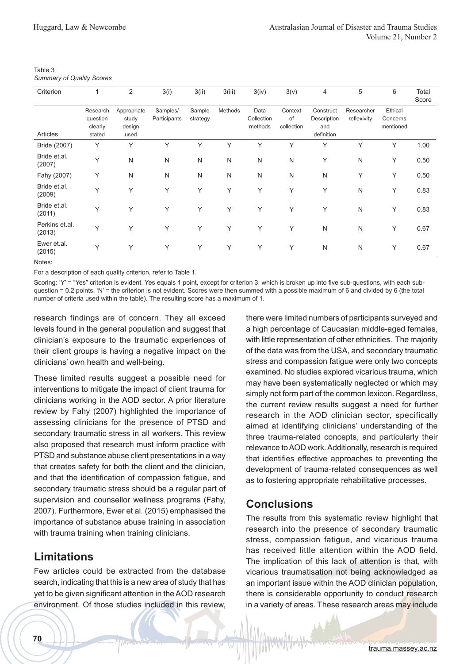| Table 3                          |  |
|----------------------------------|--|
| <b>Summary of Quality Scores</b> |  |

| Criterion                | 1                                         | 2                                      | 3(i)                     | 3(ii)              | 3(iii)  | 3(iv)                         | 3(v)                        | $\overline{4}$                                | 5                         | 6                                | Total<br>Score |
|--------------------------|-------------------------------------------|----------------------------------------|--------------------------|--------------------|---------|-------------------------------|-----------------------------|-----------------------------------------------|---------------------------|----------------------------------|----------------|
| Articles                 | Research<br>question<br>clearly<br>stated | Appropriate<br>study<br>design<br>used | Samples/<br>Participants | Sample<br>strategy | Methods | Data<br>Collection<br>methods | Context<br>of<br>collection | Construct<br>Description<br>and<br>definition | Researcher<br>reflexivity | Ethical<br>Concerns<br>mentioned |                |
| Bride (2007)             | Υ                                         | Υ                                      | Υ                        | Υ                  | Υ       | $\checkmark$                  | Y                           | Υ                                             | Υ                         | Υ                                | 1.00           |
| Bride et.al.<br>(2007)   | Υ                                         | N                                      | N                        | N                  | N       | N                             | N                           | Y                                             | $\mathsf{N}$              | Υ                                | 0.50           |
| Fahy (2007)              | Υ                                         | N                                      | N                        | N                  | N       | N                             | N                           | N                                             | Y                         | Υ                                | 0.50           |
| Bride et.al.<br>(2009)   | Υ                                         | Υ                                      | Υ                        | Υ                  | Υ       | Y                             | Y                           | Y                                             | $\mathsf{N}$              | Υ                                | 0.83           |
| Bride et.al.<br>(2011)   | Υ                                         | Υ                                      | Υ                        | Υ                  | Υ       | Υ                             | Y                           | Υ                                             | $\mathsf{N}$              | Υ                                | 0.83           |
| Perkins et.al.<br>(2013) | Υ                                         | Υ                                      | Υ                        | Y                  | Υ       | Υ                             | Y                           | N                                             | $\mathsf{N}$              | Y                                | 0.67           |
| Ewer et.al.<br>(2015)    | Υ                                         | Υ                                      | Υ                        | Y                  | Y       | Y                             | Y                           | N                                             | $\mathsf{N}$              | Y                                | 0.67           |

Notes:

For a description of each quality criterion, refer to Table 1.

Scoring: 'Y' = "Yes" criterion is evident. Yes equals 1 point, except for criterion 3, which is broken up into five sub-questions, with each subquestion = 0.2 points. 'N' = the criterion is not evident. Scores were then summed with a possible maximum of 6 and divided by 6 (the total number of criteria used within the table). The resulting score has a maximum of 1.

research findings are of concern. They all exceed levels found in the general population and suggest that clinician's exposure to the traumatic experiences of their client groups is having a negative impact on the clinicians' own health and well-being.

These limited results suggest a possible need for interventions to mitigate the impact of client trauma for clinicians working in the AOD sector. A prior literature review by Fahy (2007) highlighted the importance of assessing clinicians for the presence of PTSD and secondary traumatic stress in all workers. This review also proposed that research must inform practice with PTSD and substance abuse client presentations in a way that creates safety for both the client and the clinician, and that the identification of compassion fatigue, and secondary traumatic stress should be a regular part of supervision and counsellor wellness programs (Fahy, 2007). Furthermore, Ewer et al. (2015) emphasised the importance of substance abuse training in association with trauma training when training clinicians.

# **Limitations**

Few articles could be extracted from the database search, indicating that this is a new area of study that has yet to be given significant attention in the AOD research environment. Of those studies included in this review,

there were limited numbers of participants surveyed and a high percentage of Caucasian middle-aged females, with little representation of other ethnicities. The majority of the data was from the USA, and secondary traumatic stress and compassion fatigue were only two concepts examined. No studies explored vicarious trauma, which may have been systematically neglected or which may simply not form part of the common lexicon. Regardless, the current review results suggest a need for further research in the AOD clinician sector, specifically aimed at identifying clinicians' understanding of the three trauma-related concepts, and particularly their relevance to AOD work. Additionally, research is required that identifies effective approaches to preventing the development of trauma-related consequences as well as to fostering appropriate rehabilitative processes.

# **Conclusions**

The results from this systematic review highlight that research into the presence of secondary traumatic stress, compassion fatigue, and vicarious trauma has received little attention within the AOD field. The implication of this lack of attention is that, with vicarious traumatisation not being acknowledged as an important issue within the AOD clinician population, there is considerable opportunity to conduct research in a variety of areas. These research areas may include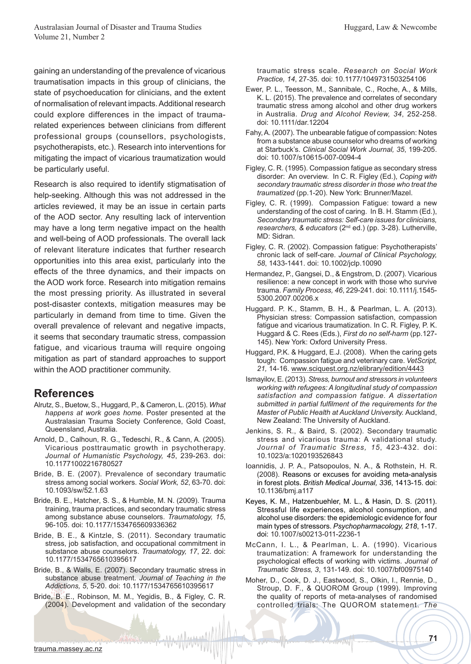gaining an understanding of the prevalence of vicarious traumatisation impacts in this group of clinicians, the state of psychoeducation for clinicians, and the extent of normalisation of relevant impacts. Additional research could explore differences in the impact of traumarelated experiences between clinicians from different professional groups (counsellors, psychologists, psychotherapists, etc.). Research into interventions for mitigating the impact of vicarious traumatization would be particularly useful.

Research is also required to identify stigmatisation of help-seeking. Although this was not addressed in the articles reviewed, it may be an issue in certain parts of the AOD sector. Any resulting lack of intervention may have a long term negative impact on the health and well-being of AOD professionals. The overall lack of relevant literature indicates that further research opportunities into this area exist, particularly into the effects of the three dynamics, and their impacts on the AOD work force. Research into mitigation remains the most pressing priority. As illustrated in several post-disaster contexts, mitigation measures may be particularly in demand from time to time. Given the overall prevalence of relevant and negative impacts, it seems that secondary traumatic stress, compassion fatigue, and vicarious trauma will require ongoing mitigation as part of standard approaches to support within the AOD practitioner community.

### **References**

- Alrutz, S., Buetow, S., Huggard, P., & Cameron, L. (2015). *What happens at work goes home.* Poster presented at the Australasian Trauma Society Conference, Gold Coast, Queensland, Australia.
- Arnold, D., Calhoun, R. G., Tedeschi, R., & Cann, A. (2005). Vicarious posttraumatic growth in psychotherapy. *Journal of Humanistic Psychology, 45*, 239-263. doi: 10.11771002216780527
- Bride, B. E. (2007). Prevalence of secondary traumatic stress among social workers. *Social Work, 52*, 63-70. doi: 10.1093/sw/52.1.63
- Bride, B. E., Hatcher, S. S., & Humble, M. N. (2009). Trauma training, trauma practices, and secondary traumatic stress among substance abuse counselors. *Traumatology, 15*, 96-105. doi: 10.1177/1534765609336362
- Bride, B. E., & Kintzle, S. (2011). Secondary traumatic stress, job satisfaction, and occupational commitment in substance abuse counselors. *Traumatology, 17*, 22. doi: 10.1177/1534765610395617
- Bride, B., & Walls, E. (2007). Secondary traumatic stress in substance abuse treatment. *Journal of Teaching in the Addictions, 5*, 5-20. doi: 10.1177/1534765610395617
- Bride, B. E., Robinson, M. M., Yegidis, B., & Figley, C. R. (2004). Development and validation of the secondary

traumatic stress scale. *Research on Social Work Practice, 14*, 27-35. doi: 10.1177/1049731503254106

- Ewer, P. L., Teesson, M., Sannibale, C., Roche, A., & Mills, K. L. (2015). The prevalence and correlates of secondary traumatic stress among alcohol and other drug workers in Australia. *Drug and Alcohol Review, 34*, 252-258. doi: 10.1111/dar.12204
- Fahy, A. (2007). The unbearable fatigue of compassion: Notes from a substance abuse counselor who dreams of working at Starbuck's. *Clinical Social Work Journal, 35*, 199-205. doi: 10.1007/s10615-007-0094-4
- Figley, C. R. (1995). Compassion fatigue as secondary stress disorder: An overview. In C. R. Figley (Ed.), *Coping with secondary traumatic stress disorder in those who treat the traumatized* (pp.1-20). New York: Brunner/Mazel.
- Figley, C. R. (1999). Compassion Fatigue: toward a new understanding of the cost of caring. In B. H. Stamm (Ed.), *Secondary traumatic stress: Self-care issues for clinicians, researchers, & educators* (2nd ed.) (pp. 3-28). Lutherville, MD: Sidran.
- Figley, C. R. (2002). Compassion fatigue: Psychotherapists' chronic lack of self-care. *Journal of Clinical Psychology, 58*, 1433-1441. doi: 10.1002/jclp.10090
- Hermandez, P., Gangsei, D., & Engstrom, D. (2007). Vicarious resilience: a new concept in work with those who survive trauma. *Family Process, 46*, 229-241. doi: 10.1111/j.1545- 5300.2007.00206.x
- Huggard. P. K., Stamm, B. H., & Pearlman, L. A. (2013). Physician stress: Compassion satisfaction, compassion fatigue and vicarious traumatization. In C. R. Figley, P. K. Huggard & C. Rees (Eds.), *First do no self-harm* (pp.127- 145). New York: Oxford University Press.
- Huggard, P.K. & Huggard, E.J. (2008). When the caring gets tough: Compassion fatigue and veterinary care. *VetScript, 21,* 14-16. www.sciquest.org.nz/elibrary/edition/4443
- Ismayilov, E. (2013). *Stress, burnout and stressors in volunteers working with refugees: A longitudinal study of compassion satisfaction and compassion fatigue. A dissertation submitted in partial fulfilment of the requirements for the Master of Public Health at Auckland University.* Auckland, New Zealand: The University of Auckland.
- Jenkins, S. R., & Baird, S. (2002). Secondary traumatic stress and vicarious trauma: A validational study. *Journal of Traumatic Stress, 15*, 423-432. doi: 10.1023/a:1020193526843
- Ioannidis, J. P. A., Patsopoulos, N. A., & Rothstein, H. R. (2008). Reasons or excuses for avoiding meta-analysis in forest plots. *British Medical Journal, 336*, 1413-15. doi: 10.1136/bmj.a117
- Keyes, K. M., Hatzenbuehler, M. L., & Hasin, D. S. (2011). Stressful life experiences, alcohol consumption, and alcohol use disorders: the epidemiologic evidence for four main types of stressors. *Psychopharmacology, 218*, 1-17. doi: 10.1007/s00213-011-2236-1
- McCann, I. L., & Pearlman, L. A. (1990). Vicarious traumatization: A framework for understanding the psychological effects of working with victims. *Journal of Traumatic Stress, 3*, 131-149. doi: 10.1007/bf00975140
- Moher, D., Cook, D. J., Eastwood, S., Olkin, I., Rennie, D., Stroup, D. F., & QUOROM Group (1999). Improving the quality of reports of meta-analyses of randomised controlled trials: The QUOROM statement. *The*